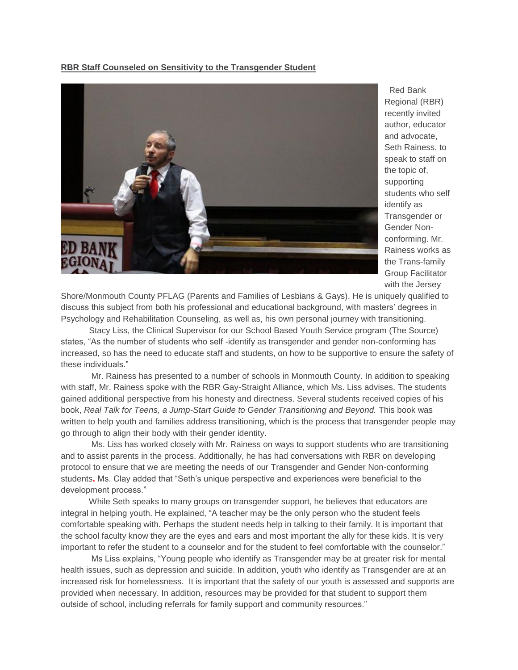## **RBR Staff Counseled on Sensitivity to the Transgender Student**



Red Bank Regional (RBR) recently invited author, educator and advocate, Seth Rainess, to speak to staff on the topic of, supporting students who self identify as Transgender or Gender Nonconforming. Mr. Rainess works as the Trans-family Group Facilitator with the Jersey

Shore/Monmouth County PFLAG (Parents and Families of Lesbians & Gays). He is uniquely qualified to discuss this subject from both his professional and educational background, with masters' degrees in Psychology and Rehabilitation Counseling, as well as, his own personal journey with transitioning.

 Stacy Liss, the Clinical Supervisor for our School Based Youth Service program (The Source) states, "As the number of students who self -identify as transgender and gender non-conforming has increased, so has the need to educate staff and students, on how to be supportive to ensure the safety of these individuals."

Mr. Rainess has presented to a number of schools in Monmouth County. In addition to speaking with staff, Mr. Rainess spoke with the RBR Gay-Straight Alliance, which Ms. Liss advises. The students gained additional perspective from his honesty and directness. Several students received copies of his book, *Real Talk for Teens, a Jump-Start Guide to Gender Transitioning and Beyond.* This book was written to help youth and families address transitioning, which is the process that transgender people may go through to align their body with their gender identity.

Ms. Liss has worked closely with Mr. Rainess on ways to support students who are transitioning and to assist parents in the process. Additionally, he has had conversations with RBR on developing protocol to ensure that we are meeting the needs of our Transgender and Gender Non-conforming students**.** Ms. Clay added that "Seth's unique perspective and experiences were beneficial to the development process."

 While Seth speaks to many groups on transgender support, he believes that educators are integral in helping youth. He explained, "A teacher may be the only person who the student feels comfortable speaking with. Perhaps the student needs help in talking to their family. It is important that the school faculty know they are the eyes and ears and most important the ally for these kids. It is very important to refer the student to a counselor and for the student to feel comfortable with the counselor."

 Ms Liss explains, "Young people who identify as Transgender may be at greater risk for mental health issues, such as depression and suicide. In addition, youth who identify as Transgender are at an increased risk for homelessness. It is important that the safety of our youth is assessed and supports are provided when necessary. In addition, resources may be provided for that student to support them outside of school, including referrals for family support and community resources."